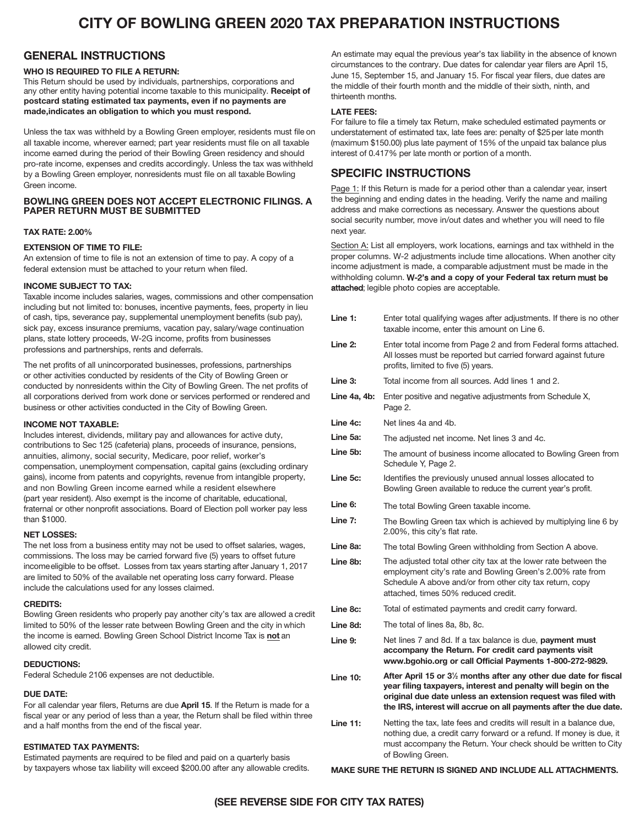# **CITY OF BOWLING GREEN 2020 TAX PREPARATION INSTRUCTIONS**

# **GENERAL INSTRUCTIONS**

## **WHO IS REQUIRED TO FILE A RETURN:**

This Return should be used by individuals, partnerships, corporations and any other entity having potential income taxable to this municipality. Receipt of postcard stating estimated tax payments, even if no payments are made,indicates an obligation to which you must respond.

Unless the tax was withheld by a Bowling Green employer, residents must file on all taxable income, wherever earned; part year residents must file on all taxable income earned during the period of their Bowling Green residency and should pro-rate income, expenses and credits accordingly. Unless the tax was withheld by a Bowling Green employer, nonresidents must file on all taxable Bowling Green income.

# **BOWLING GREEN DOES NOT ACCEPT ELECTRONIC FILINGS**. A PAPER RETURN MUST BE SUBMITTED

## **TAX RATE: 2.00%**

# **EXTENSION OF TIME TO FILE:**

An extension of time to file is not an extension of time to pay. A copy of a federal extension must be attached to your return when filed.

#### **INCOME SUBJECT TO TAX:**

Taxable income includes salaries, wages, commissions and other compensation including but not limited to: bonuses, incentive payments, fees, property in lieu of cash, tips, severance pay, supplemental unemployment benefits (sub pay), sick pay, excess insurance premiums, vacation pay, salary/wage continuation plans, state lottery proceeds, W-2G income, profits from businesses professions and partnerships, rents and deferrals.

The net profits of all unincorporated businesses, professions, partnerships or other activities conducted by residents of the City of Bowling Green or conducted by nonresidents within the City of Bowling Green. The net profits of all corporations derived from work done or services performed or rendered and business or other activities conducted in the City of Bowling Green.

#### **INCOME NOT TAXABLE:**

Includes interest, dividends, military pay and allowances for active duty, contributions to Sec 125 (cafeteria) plans, proceeds of insurance, pensions, annuities, alimony, social security, Medicare, poor relief, worker's compensation, unemployment compensation, capital gains (excluding ordinary gains), income from patents and copyrights, revenue from intangible property, and non Bowling Green income earned while a resident elsewhere (part year resident). Also exempt is the income of charitable, educational, fraternal or other nonprofit associations. Board of Election poll worker pay less than \$1000.

#### **NET LOSSES:**

The net loss from a business entity may not be used to offset salaries, wages, commissions. The loss may be carried forward five (5) years to offset future incomeeligible to be offset. Losses from tax years starting after January 1, 2017 are limited to 50% of the available net operating loss carry forward. Please include the calculations used for any losses claimed.

#### **CREDITS:**

Bowling Green residents who properly pay another city's tax are allowed a credit limited to 50% of the lesser rate between Bowling Green and the city in which the income is earned. Bowling Green School District Income Tax is **not** an allowed city credit.

## **DEDUCTIONS:**

Federal Schedule 2106 expenses are not deductible.

## **DUE DATE:**

For all calendar year filers, Returns are due **April 1**5. If the Return is made for a fiscal year or any period of less than a year, the Return shall be filed within three and a half months from the end of the fiscal year.

# **ESTIMATED TAX PAYMENTS:**

Estimated payments are required to be filed and paid on a quarterly basis by taxpayers whose tax liability will exceed \$200.00 after any allowable credits.

An estimate may equal the previous year's tax liability in the absence of known circumstances to the contrary. Due dates for calendar year filers are April 15, June 15, September 15, and January 15. For fiscal year filers, due dates are the middle of their fourth month and the middle of their sixth, ninth, and thirteenth months.

#### **LATE FEES:**

For failure to file a timely tax Return, make scheduled estimated payments or understatement of estimated tax, late fees are: penalty of \$25 per late month (maximum \$150.00) plus late payment of 15% of the unpaid tax balance plus interest of 0.417% per late month or portion of a month.

# **SPECIFIC INSTRUCTIONS**

Page 1: If this Return is made for a period other than a calendar year, insert the beginning and ending dates in the heading. Verify the name and mailing address and make corrections as necessary. Answer the questions about social security number, move in/out dates and whether you will need to file next year.

Section A: List all employers, work locations, earnings and tax withheld in the proper columns. W-2 adjustments include time allocations. When another city income adjustment is made, a comparable adjustment must be made in the withholding column. W-2's and a copy of your Federal tax return must be attached; legible photo copies are acceptable.

| Line 1:         | Enter total qualifying wages after adjustments. If there is no other<br>taxable income, enter this amount on Line 6.                                                                                                                                                                |
|-----------------|-------------------------------------------------------------------------------------------------------------------------------------------------------------------------------------------------------------------------------------------------------------------------------------|
| Line 2:         | Enter total income from Page 2 and from Federal forms attached.<br>All losses must be reported but carried forward against future<br>profits, limited to five (5) years.                                                                                                            |
| Line 3:         | Total income from all sources. Add lines 1 and 2.                                                                                                                                                                                                                                   |
| Line 4a, 4b:    | Enter positive and negative adjustments from Schedule X,<br>Page 2.                                                                                                                                                                                                                 |
| Line 4c:        | Net lines 4a and 4b.                                                                                                                                                                                                                                                                |
| Line 5a:        | The adjusted net income. Net lines 3 and 4c.                                                                                                                                                                                                                                        |
| Line 5b:        | The amount of business income allocated to Bowling Green from<br>Schedule Y, Page 2.                                                                                                                                                                                                |
| Line 5c:        | Identifies the previously unused annual losses allocated to<br>Bowling Green available to reduce the current year's profit.                                                                                                                                                         |
| Line 6:         | The total Bowling Green taxable income.                                                                                                                                                                                                                                             |
| Line 7:         | The Bowling Green tax which is achieved by multiplying line 6 by<br>2.00%, this city's flat rate.                                                                                                                                                                                   |
| Line 8a:        | The total Bowling Green withholding from Section A above.                                                                                                                                                                                                                           |
| Line 8b:        | The adjusted total other city tax at the lower rate between the<br>employment city's rate and Bowling Green's 2.00% rate from<br>Schedule A above and/or from other city tax return, copy<br>attached, times 50% reduced credit.                                                    |
| Line 8c:        | Total of estimated payments and credit carry forward.                                                                                                                                                                                                                               |
| Line 8d:        | The total of lines 8a, 8b, 8c.                                                                                                                                                                                                                                                      |
| Line 9:         | Net lines 7 and 8d. If a tax balance is due, payment must<br>accompany the Return. For credit card payments visit<br>www.bgohio.org or call Official Payments 1-800-272-9829.                                                                                                       |
| <b>Line 10:</b> | After April 15 or 3 <sup>1/2</sup> months after any other due date for fiscal<br>year filing taxpayers, interest and penalty will begin on the<br>original due date unless an extension request was filed with<br>the IRS, interest will accrue on all payments after the due date. |
| <b>Line 11:</b> | Netting the tax, late fees and credits will result in a balance due,<br>nothing due, a credit carry forward or a refund. If money is due, it<br>must accompany the Return. Your check should be written to City<br>of Bowling Green.                                                |

#### **MAKE SURE THE RETURN IS SIGNED AND INCLUDE ALL ATTACHMENTS.**